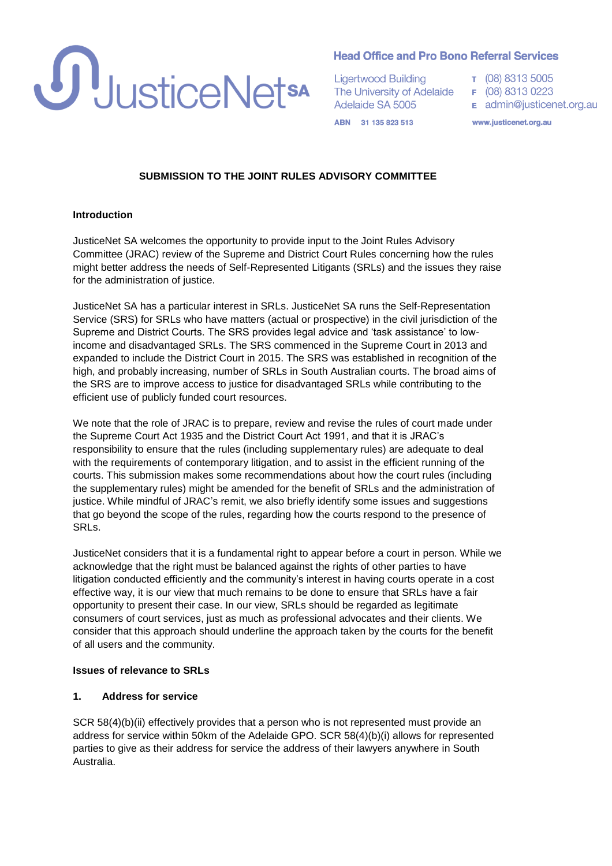

## **Head Office and Pro Bono Referral Services**

**Ligertwood Building** The University of Adelaide Adelaide SA 5005

- T (08) 8313 5005 F (08) 8313 0223
- E admin@justicenet.org.au

ABN 31 135 823 513

www.justicenet.org.au

## **SUBMISSION TO THE JOINT RULES ADVISORY COMMITTEE**

#### **Introduction**

JusticeNet SA welcomes the opportunity to provide input to the Joint Rules Advisory Committee (JRAC) review of the Supreme and District Court Rules concerning how the rules might better address the needs of Self-Represented Litigants (SRLs) and the issues they raise for the administration of justice.

JusticeNet SA has a particular interest in SRLs. JusticeNet SA runs the Self-Representation Service (SRS) for SRLs who have matters (actual or prospective) in the civil jurisdiction of the Supreme and District Courts. The SRS provides legal advice and 'task assistance' to lowincome and disadvantaged SRLs. The SRS commenced in the Supreme Court in 2013 and expanded to include the District Court in 2015. The SRS was established in recognition of the high, and probably increasing, number of SRLs in South Australian courts. The broad aims of the SRS are to improve access to justice for disadvantaged SRLs while contributing to the efficient use of publicly funded court resources.

We note that the role of JRAC is to prepare, review and revise the rules of court made under the Supreme Court Act 1935 and the District Court Act 1991, and that it is JRAC's responsibility to ensure that the rules (including supplementary rules) are adequate to deal with the requirements of contemporary litigation, and to assist in the efficient running of the courts. This submission makes some recommendations about how the court rules (including the supplementary rules) might be amended for the benefit of SRLs and the administration of justice. While mindful of JRAC's remit, we also briefly identify some issues and suggestions that go beyond the scope of the rules, regarding how the courts respond to the presence of SRLs.

JusticeNet considers that it is a fundamental right to appear before a court in person. While we acknowledge that the right must be balanced against the rights of other parties to have litigation conducted efficiently and the community's interest in having courts operate in a cost effective way, it is our view that much remains to be done to ensure that SRLs have a fair opportunity to present their case. In our view, SRLs should be regarded as legitimate consumers of court services, just as much as professional advocates and their clients. We consider that this approach should underline the approach taken by the courts for the benefit of all users and the community.

#### **Issues of relevance to SRLs**

#### **1. Address for service**

SCR 58(4)(b)(ii) effectively provides that a person who is not represented must provide an address for service within 50km of the Adelaide GPO. SCR 58(4)(b)(i) allows for represented parties to give as their address for service the address of their lawyers anywhere in South Australia.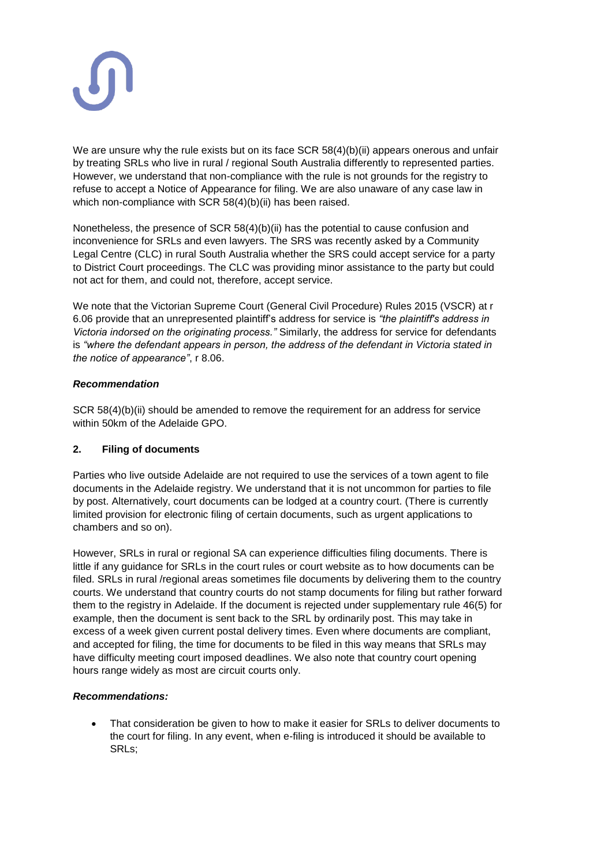

We are unsure why the rule exists but on its face SCR 58(4)(b)(ii) appears onerous and unfair by treating SRLs who live in rural / regional South Australia differently to represented parties. However, we understand that non-compliance with the rule is not grounds for the registry to refuse to accept a Notice of Appearance for filing. We are also unaware of any case law in which non-compliance with SCR 58(4)(b)(ii) has been raised.

Nonetheless, the presence of SCR 58(4)(b)(ii) has the potential to cause confusion and inconvenience for SRLs and even lawyers. The SRS was recently asked by a Community Legal Centre (CLC) in rural South Australia whether the SRS could accept service for a party to District Court proceedings. The CLC was providing minor assistance to the party but could not act for them, and could not, therefore, accept service.

We note that the Victorian Supreme Court (General Civil Procedure) Rules 2015 (VSCR) at r 6.06 provide that an unrepresented plaintiff's address for service is *"the plaintiff's address in Victoria indorsed on the originating process."* Similarly, the address for service for defendants is *"where the defendant appears in person, the address of the defendant in Victoria stated in the notice of appearance"*, r 8.06.

## *Recommendation*

SCR 58(4)(b)(ii) should be amended to remove the requirement for an address for service within 50km of the Adelaide GPO.

# **2. Filing of documents**

Parties who live outside Adelaide are not required to use the services of a town agent to file documents in the Adelaide registry. We understand that it is not uncommon for parties to file by post. Alternatively, court documents can be lodged at a country court. (There is currently limited provision for electronic filing of certain documents, such as urgent applications to chambers and so on).

However, SRLs in rural or regional SA can experience difficulties filing documents. There is little if any guidance for SRLs in the court rules or court website as to how documents can be filed. SRLs in rural /regional areas sometimes file documents by delivering them to the country courts. We understand that country courts do not stamp documents for filing but rather forward them to the registry in Adelaide. If the document is rejected under supplementary rule 46(5) for example, then the document is sent back to the SRL by ordinarily post. This may take in excess of a week given current postal delivery times. Even where documents are compliant, and accepted for filing, the time for documents to be filed in this way means that SRLs may have difficulty meeting court imposed deadlines. We also note that country court opening hours range widely as most are circuit courts only.

# *Recommendations:*

 That consideration be given to how to make it easier for SRLs to deliver documents to the court for filing. In any event, when e-filing is introduced it should be available to SRLs;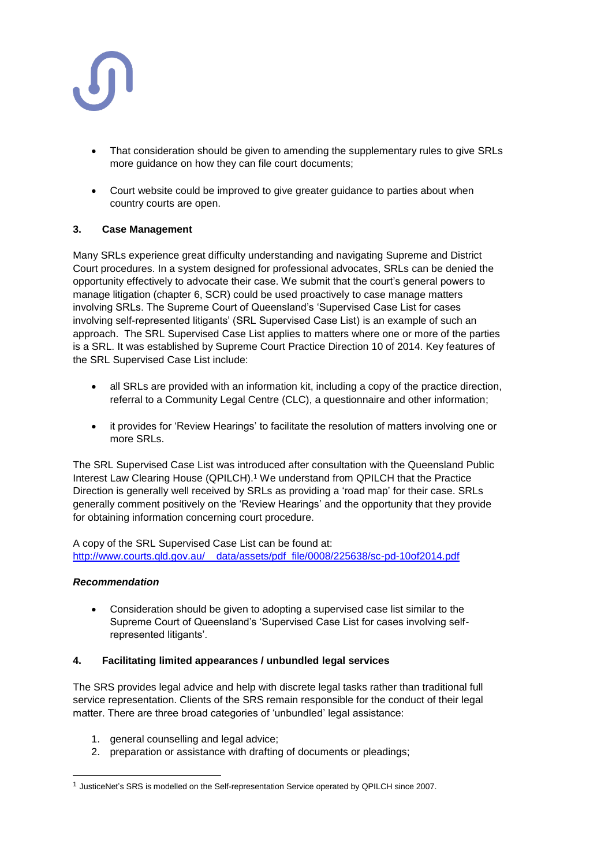

- That consideration should be given to amending the supplementary rules to give SRLs more guidance on how they can file court documents;
- Court website could be improved to give greater guidance to parties about when country courts are open.

## **3. Case Management**

Many SRLs experience great difficulty understanding and navigating Supreme and District Court procedures. In a system designed for professional advocates, SRLs can be denied the opportunity effectively to advocate their case. We submit that the court's general powers to manage litigation (chapter 6, SCR) could be used proactively to case manage matters involving SRLs. The Supreme Court of Queensland's 'Supervised Case List for cases involving self-represented litigants' (SRL Supervised Case List) is an example of such an approach. The SRL Supervised Case List applies to matters where one or more of the parties is a SRL. It was established by Supreme Court Practice Direction 10 of 2014. Key features of the SRL Supervised Case List include:

- all SRLs are provided with an information kit, including a copy of the practice direction, referral to a Community Legal Centre (CLC), a questionnaire and other information;
- it provides for 'Review Hearings' to facilitate the resolution of matters involving one or more SRLs.

The SRL Supervised Case List was introduced after consultation with the Queensland Public Interest Law Clearing House (QPILCH).<sup>1</sup> We understand from QPILCH that the Practice Direction is generally well received by SRLs as providing a 'road map' for their case. SRLs generally comment positively on the 'Review Hearings' and the opportunity that they provide for obtaining information concerning court procedure.

A copy of the SRL Supervised Case List can be found at: [http://www.courts.qld.gov.au/\\_\\_data/assets/pdf\\_file/0008/225638/sc-pd-10of2014.pdf](http://www.courts.qld.gov.au/__data/assets/pdf_file/0008/225638/sc-pd-10of2014.pdf)

## *Recommendation*

l

 Consideration should be given to adopting a supervised case list similar to the Supreme Court of Queensland's 'Supervised Case List for cases involving selfrepresented litigants'.

## **4. Facilitating limited appearances / unbundled legal services**

The SRS provides legal advice and help with discrete legal tasks rather than traditional full service representation. Clients of the SRS remain responsible for the conduct of their legal matter. There are three broad categories of 'unbundled' legal assistance:

- 1. general counselling and legal advice;
- 2. preparation or assistance with drafting of documents or pleadings;

<sup>1</sup> JusticeNet's SRS is modelled on the Self-representation Service operated by QPILCH since 2007.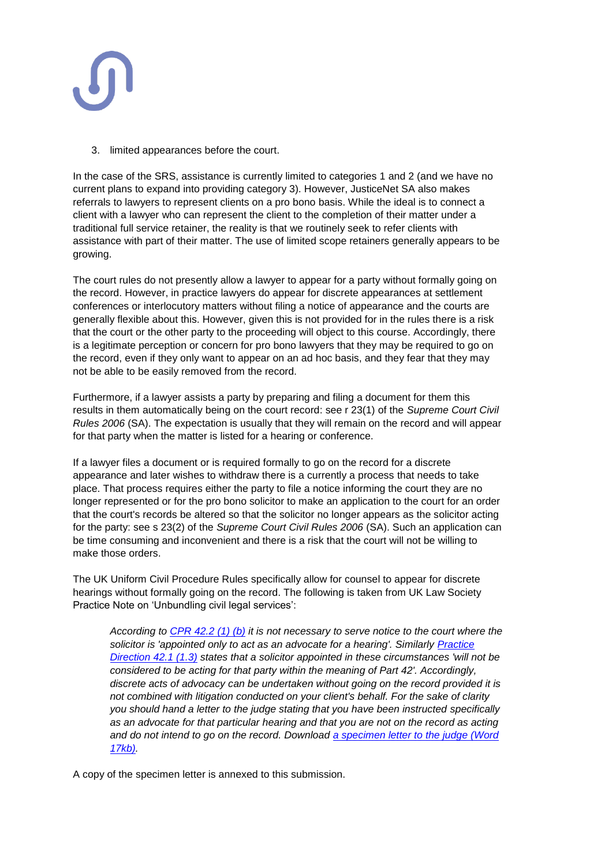

3. limited appearances before the court.

In the case of the SRS, assistance is currently limited to categories 1 and 2 (and we have no current plans to expand into providing category 3). However, JusticeNet SA also makes referrals to lawyers to represent clients on a pro bono basis. While the ideal is to connect a client with a lawyer who can represent the client to the completion of their matter under a traditional full service retainer, the reality is that we routinely seek to refer clients with assistance with part of their matter. The use of limited scope retainers generally appears to be growing.

The court rules do not presently allow a lawyer to appear for a party without formally going on the record. However, in practice lawyers do appear for discrete appearances at settlement conferences or interlocutory matters without filing a notice of appearance and the courts are generally flexible about this. However, given this is not provided for in the rules there is a risk that the court or the other party to the proceeding will object to this course. Accordingly, there is a legitimate perception or concern for pro bono lawyers that they may be required to go on the record, even if they only want to appear on an ad hoc basis, and they fear that they may not be able to be easily removed from the record.

Furthermore, if a lawyer assists a party by preparing and filing a document for them this results in them automatically being on the court record: see r 23(1) of the *Supreme Court Civil Rules 2006* (SA). The expectation is usually that they will remain on the record and will appear for that party when the matter is listed for a hearing or conference.

If a lawyer files a document or is required formally to go on the record for a discrete appearance and later wishes to withdraw there is a currently a process that needs to take place. That process requires either the party to file a notice informing the court they are no longer represented or for the pro bono solicitor to make an application to the court for an order that the court's records be altered so that the solicitor no longer appears as the solicitor acting for the party: see s 23(2) of the *Supreme Court Civil Rules 2006* (SA). Such an application can be time consuming and inconvenient and there is a risk that the court will not be willing to make those orders.

The UK Uniform Civil Procedure Rules specifically allow for counsel to appear for discrete hearings without formally going on the record. The following is taken from UK Law Society Practice Note on 'Unbundling civil legal services':

*According to [CPR 42.2 \(1\) \(b\)](http://www.justice.gov.uk/courts/procedure-rules/civil/rules/part42) it is not necessary to serve notice to the court where the solicitor is 'appointed only to act as an advocate for a hearing'. Similarly [Practice](http://www.justice.gov.uk/courts/procedure-rules/civil/rules/part42/pd_part42)  [Direction 42.1 \(1.3\)](http://www.justice.gov.uk/courts/procedure-rules/civil/rules/part42/pd_part42) states that a solicitor appointed in these circumstances 'will not be considered to be acting for that party within the meaning of Part 42'. Accordingly, discrete acts of advocacy can be undertaken without going on the record provided it is not combined with litigation conducted on your client's behalf. For the sake of clarity you should hand a letter to the judge stating that you have been instructed specifically as an advocate for that particular hearing and that you are not on the record as acting and do not intend to go on the record. Download [a specimen letter to the judge \(Word](http://www.lawsociety.org.uk/Support-services/Advice/Practice-notes/documents/Appendix-E-specimen-letter-to-judge/)  [17kb\).](http://www.lawsociety.org.uk/Support-services/Advice/Practice-notes/documents/Appendix-E-specimen-letter-to-judge/)*

A copy of the specimen letter is annexed to this submission.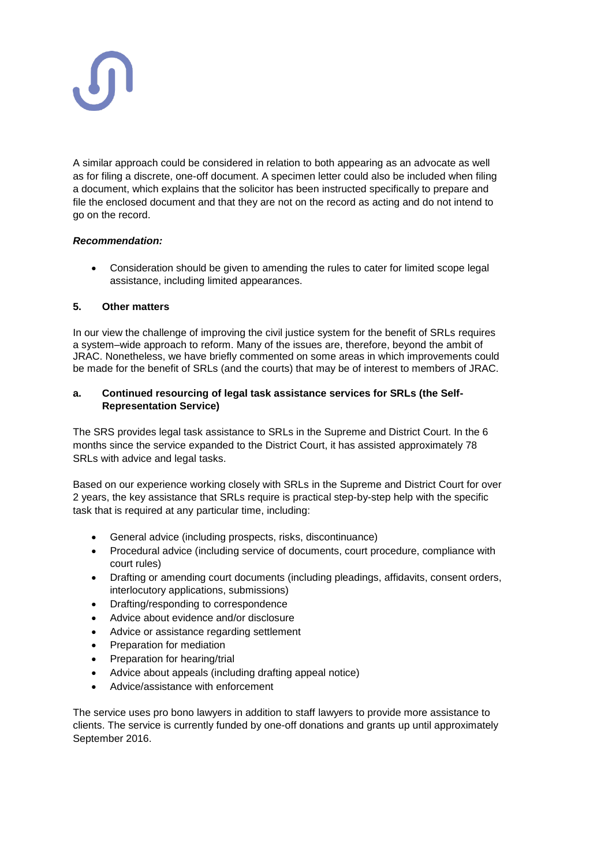

A similar approach could be considered in relation to both appearing as an advocate as well as for filing a discrete, one-off document. A specimen letter could also be included when filing a document, which explains that the solicitor has been instructed specifically to prepare and file the enclosed document and that they are not on the record as acting and do not intend to go on the record.

## *Recommendation:*

 Consideration should be given to amending the rules to cater for limited scope legal assistance, including limited appearances.

## **5. Other matters**

In our view the challenge of improving the civil justice system for the benefit of SRLs requires a system–wide approach to reform. Many of the issues are, therefore, beyond the ambit of JRAC. Nonetheless, we have briefly commented on some areas in which improvements could be made for the benefit of SRLs (and the courts) that may be of interest to members of JRAC.

## **a. Continued resourcing of legal task assistance services for SRLs (the Self-Representation Service)**

The SRS provides legal task assistance to SRLs in the Supreme and District Court. In the 6 months since the service expanded to the District Court, it has assisted approximately 78 SRLs with advice and legal tasks.

Based on our experience working closely with SRLs in the Supreme and District Court for over 2 years, the key assistance that SRLs require is practical step-by-step help with the specific task that is required at any particular time, including:

- General advice (including prospects, risks, discontinuance)
- Procedural advice (including service of documents, court procedure, compliance with court rules)
- Drafting or amending court documents (including pleadings, affidavits, consent orders, interlocutory applications, submissions)
- Drafting/responding to correspondence
- Advice about evidence and/or disclosure
- Advice or assistance regarding settlement
- Preparation for mediation
- Preparation for hearing/trial
- Advice about appeals (including drafting appeal notice)
- Advice/assistance with enforcement

The service uses pro bono lawyers in addition to staff lawyers to provide more assistance to clients. The service is currently funded by one-off donations and grants up until approximately September 2016.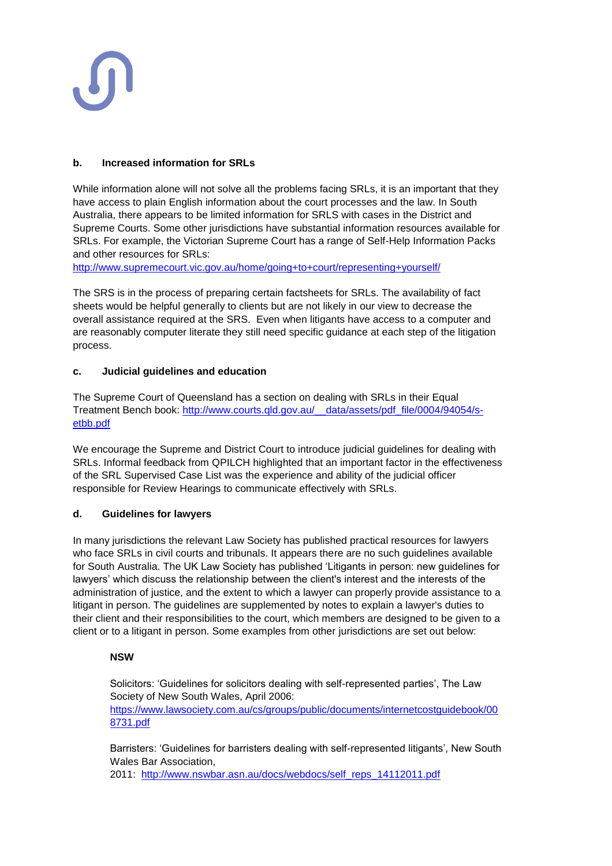## **b. Increased information for SRLs**

While information alone will not solve all the problems facing SRLs, it is an important that they have access to plain English information about the court processes and the law. In South Australia, there appears to be limited information for SRLS with cases in the District and Supreme Courts. Some other jurisdictions have substantial information resources available for SRLs. For example, the Victorian Supreme Court has a range of Self-Help Information Packs and other resources for SRLs:

<http://www.supremecourt.vic.gov.au/home/going+to+court/representing+yourself/>

The SRS is in the process of preparing certain factsheets for SRLs. The availability of fact sheets would be helpful generally to clients but are not likely in our view to decrease the overall assistance required at the SRS. Even when litigants have access to a computer and are reasonably computer literate they still need specific guidance at each step of the litigation process.

## **c. Judicial guidelines and education**

The Supreme Court of Queensland has a section on dealing with SRLs in their Equal Treatment Bench book: [http://www.courts.qld.gov.au/\\_\\_data/assets/pdf\\_file/0004/94054/s](http://www.courts.qld.gov.au/__data/assets/pdf_file/0004/94054/s-etbb.pdf)[etbb.pdf](http://www.courts.qld.gov.au/__data/assets/pdf_file/0004/94054/s-etbb.pdf)

We encourage the Supreme and District Court to introduce judicial guidelines for dealing with SRLs. Informal feedback from QPILCH highlighted that an important factor in the effectiveness of the SRL Supervised Case List was the experience and ability of the judicial officer responsible for Review Hearings to communicate effectively with SRLs.

# **d. Guidelines for lawyers**

In many jurisdictions the relevant Law Society has published practical resources for lawyers who face SRLs in civil courts and tribunals. It appears there are no such guidelines available for South Australia. The UK Law Society has published 'Litigants in person: new guidelines for lawyers' which discuss the relationship between the client's interest and the interests of the administration of justice, and the extent to which a lawyer can properly provide assistance to a litigant in person. The guidelines are supplemented by notes to explain a lawyer's duties to their client and their responsibilities to the court, which members are designed to be given to a client or to a litigant in person. Some examples from other jurisdictions are set out below:

## **NSW**

Solicitors: 'Guidelines for solicitors dealing with self-represented parties', The Law Society of New South Wales, April 2006: [https://www.lawsociety.com.au/cs/groups/public/documents/internetcostguidebook/00](https://www.lawsociety.com.au/cs/groups/public/documents/internetcostguidebook/008731.pdf)

[8731.pdf](https://www.lawsociety.com.au/cs/groups/public/documents/internetcostguidebook/008731.pdf)

Barristers: 'Guidelines for barristers dealing with self-represented litigants', New South Wales Bar Association,

2011: [http://www.nswbar.asn.au/docs/webdocs/self\\_reps\\_14112011.pdf](http://www.nswbar.asn.au/docs/webdocs/self_reps_14112011.pdf)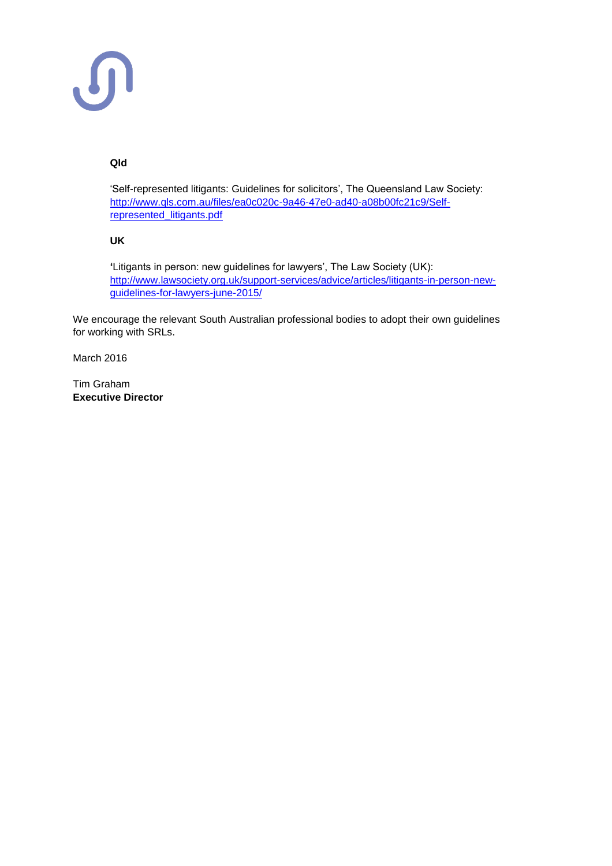# **Qld**

'Self-represented litigants: Guidelines for solicitors', The Queensland Law Society: [http://www.qls.com.au/files/ea0c020c-9a46-47e0-ad40-a08b00fc21c9/Self](http://www.qls.com.au/files/ea0c020c-9a46-47e0-ad40-a08b00fc21c9/Self-represented_litigants.pdf)[represented\\_litigants.pdf](http://www.qls.com.au/files/ea0c020c-9a46-47e0-ad40-a08b00fc21c9/Self-represented_litigants.pdf)

## **UK**

**'**Litigants in person: new guidelines for lawyers', The Law Society (UK): [http://www.lawsociety.org.uk/support-services/advice/articles/litigants-in-person-new](http://www.lawsociety.org.uk/support-services/advice/articles/litigants-in-person-new-guidelines-for-lawyers-june-2015/)[guidelines-for-lawyers-june-2015/](http://www.lawsociety.org.uk/support-services/advice/articles/litigants-in-person-new-guidelines-for-lawyers-june-2015/)

We encourage the relevant South Australian professional bodies to adopt their own guidelines for working with SRLs.

March 2016

Tim Graham **Executive Director**